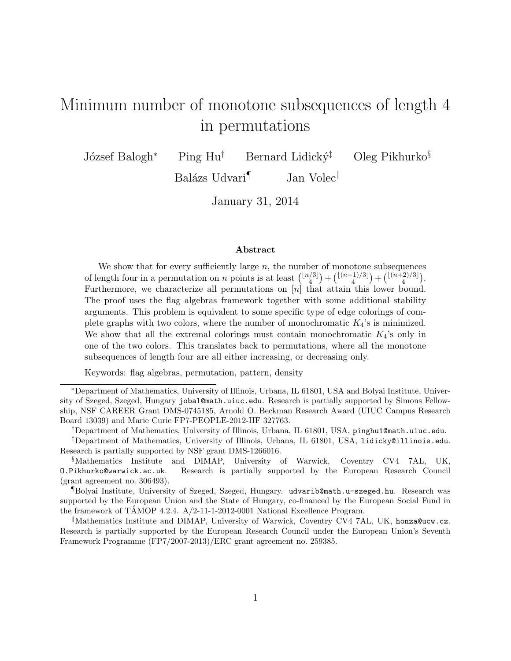# <span id="page-0-0"></span>Minimum number of monotone subsequences of length 4 in permutations

József Balogh<sup>∗</sup> Ping Hu<sup>†</sup> Bernard Lidický<sup>‡</sup> Oleg Pikhurko<sup>§</sup>

Balázs Udvari $\mathbb{I}$  Jan Volec

January 31, 2014

#### Abstract

We show that for every sufficiently large  $n$ , the number of monotone subsequences of length four in a permutation on *n* points is at least  $\binom{\lfloor n/3 \rfloor}{4}$  $\binom{1}{4} + \binom{\lfloor (n+1)/3 \rfloor}{4}$  $\binom{\lfloor (n+2)/3 \rfloor}{4} + \binom{\lfloor (n+2)/3 \rfloor}{4}$  $\binom{2/3}{4}$ . Furthermore, we characterize all permutations on  $[n]$  that attain this lower bound. The proof uses the flag algebras framework together with some additional stability arguments. This problem is equivalent to some specific type of edge colorings of complete graphs with two colors, where the number of monochromatic  $K_4$ 's is minimized. We show that all the extremal colorings must contain monochromatic  $K_4$ 's only in one of the two colors. This translates back to permutations, where all the monotone subsequences of length four are all either increasing, or decreasing only.

Keywords: flag algebras, permutation, pattern, density

<sup>∗</sup>Department of Mathematics, University of Illinois, Urbana, IL 61801, USA and Bolyai Institute, University of Szeged, Szeged, Hungary jobal@math.uiuc.edu. Research is partially supported by Simons Fellowship, NSF CAREER Grant DMS-0745185, Arnold O. Beckman Research Award (UIUC Campus Research Board 13039) and Marie Curie FP7-PEOPLE-2012-IIF 327763.

†Department of Mathematics, University of Illinois, Urbana, IL 61801, USA, pinghu1@math.uiuc.edu.

¶Bolyai Institute, University of Szeged, Szeged, Hungary. udvarib@math.u-szeged.hu. Research was supported by the European Union and the State of Hungary, co-financed by the European Social Fund in the framework of TAMOP 4.2.4.  $A/2$ -11-1-2012-0001 National Excellence Program.

Mathematics Institute and DIMAP, University of Warwick, Coventry CV4 7AL, UK, honza@ucw.cz. Research is partially supported by the European Research Council under the European Union's Seventh Framework Programme (FP7/2007-2013)/ERC grant agreement no. 259385.

<sup>‡</sup>Department of Mathematics, University of Illinois, Urbana, IL 61801, USA, lidicky@illinois.edu. Research is partially supported by NSF grant DMS-1266016.

<sup>§</sup>Mathematics Institute and DIMAP, University of Warwick, Coventry CV4 7AL, UK, O.Pikhurko@warwick.ac.uk. Research is partially supported by the European Research Council (grant agreement no. 306493).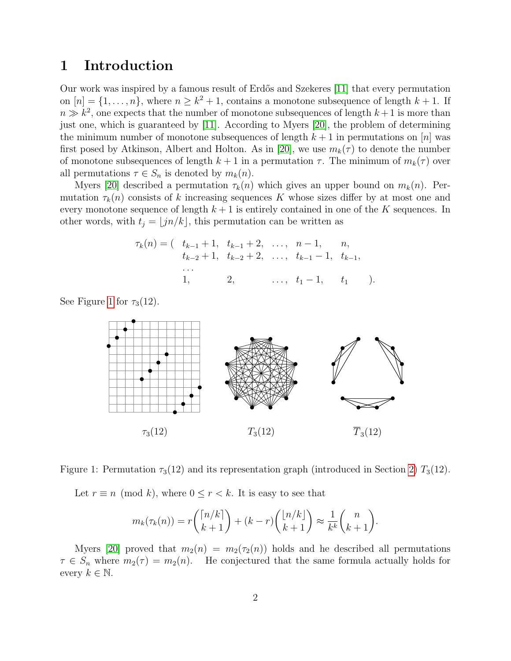# 1 Introduction

Our work was inspired by a famous result of Erdős and Szekeres [\[11\]](#page-18-0) that every permutation on  $[n] = \{1, \ldots, n\}$ , where  $n \geq k^2 + 1$ , contains a monotone subsequence of length  $k + 1$ . If  $n \gg k^2$ , one expects that the number of monotone subsequences of length  $k+1$  is more than just one, which is guaranteed by [\[11\]](#page-18-0). According to Myers [\[20\]](#page-19-0), the problem of determining the minimum number of monotone subsequences of length  $k + 1$  in permutations on [n] was first posed by Atkinson, Albert and Holton. As in [\[20\]](#page-19-0), we use  $m_k(\tau)$  to denote the number of monotone subsequences of length  $k + 1$  in a permutation  $\tau$ . The minimum of  $m_k(\tau)$  over all permutations  $\tau \in S_n$  is denoted by  $m_k(n)$ .

Myers [\[20\]](#page-19-0) described a permutation  $\tau_k(n)$  which gives an upper bound on  $m_k(n)$ . Permutation  $\tau_k(n)$  consists of k increasing sequences K whose sizes differ by at most one and every monotone sequence of length  $k+1$  is entirely contained in one of the K sequences. In other words, with  $t_i = |j n/k|$ , this permutation can be written as

$$
\tau_k(n) = (t_{k-1}+1, t_{k-1}+2, \dots, n-1, n, t_{k-2}+1, t_{k-2}+2, \dots, t_{k-1}-1, t_{k-1}, \dots, t_1-1, t_{k-1}, \dots, t_1-1, t_1).
$$

See Figure [1](#page-1-0) for  $\tau_3(12)$ .



Figure 1: Permutation  $\tau_3(12)$  and its representation graph (introduced in Section [2\)](#page-5-0)  $T_3(12)$ .

<span id="page-1-0"></span>Let  $r \equiv n \pmod{k}$ , where  $0 \leq r < k$ . It is easy to see that

$$
m_k(\tau_k(n)) = r\binom{\lceil n/k \rceil}{k+1} + (k-r)\binom{\lfloor n/k \rfloor}{k+1} \approx \frac{1}{k^k} \binom{n}{k+1}.
$$

Myers [\[20\]](#page-19-0) proved that  $m_2(n) = m_2(\tau_2(n))$  holds and he described all permutations  $\tau \in S_n$  where  $m_2(\tau) = m_2(n)$ . He conjectured that the same formula actually holds for every  $k \in \mathbb{N}$ .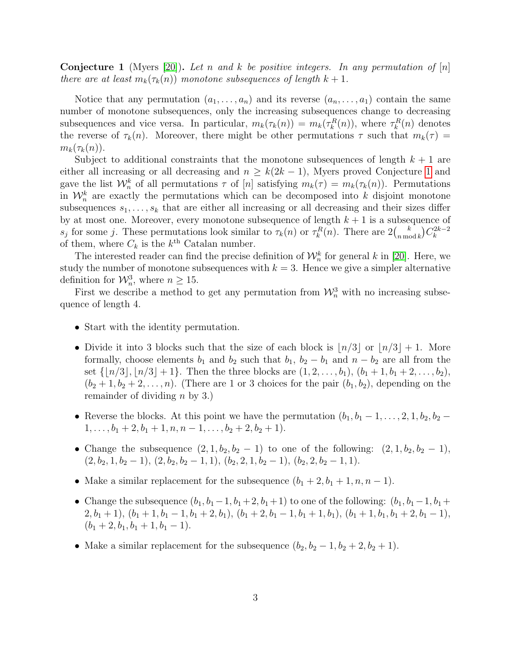<span id="page-2-0"></span>**Conjecture 1** (Myers [\[20\]](#page-19-0)). Let n and k be positive integers. In any permutation of  $[n]$ there are at least  $m_k(\tau_k(n))$  monotone subsequences of length  $k+1$ .

Notice that any permutation  $(a_1, \ldots, a_n)$  and its reverse  $(a_n, \ldots, a_1)$  contain the same number of monotone subsequences, only the increasing subsequences change to decreasing subsequences and vice versa. In particular,  $m_k(\tau_k(n)) = m_k(\tau_k^R(n))$ , where  $\tau_k^R(n)$  denotes the reverse of  $\tau_k(n)$ . Moreover, there might be other permutations  $\tau$  such that  $m_k(\tau)$  =  $m_k(\tau_k(n)).$ 

Subject to additional constraints that the monotone subsequences of length  $k + 1$  are either all increasing or all decreasing and  $n \geq k(2k-1)$ , Myers proved Conjecture [1](#page-2-0) and gave the list  $\mathcal{W}_n^k$  of all permutations  $\tau$  of  $[n]$  satisfying  $m_k(\tau) = m_k(\tau_k(n))$ . Permutations in  $\mathcal{W}_n^k$  are exactly the permutations which can be decomposed into k disjoint monotone subsequences  $s_1, \ldots, s_k$  that are either all increasing or all decreasing and their sizes differ by at most one. Moreover, every monotone subsequence of length  $k + 1$  is a subsequence of s<sub>j</sub> for some j. These permutations look similar to  $\tau_k(n)$  or  $\tau_k^R(n)$ . There are  $2\binom{k}{n \text{ mod } n}$  $\binom{k}{n \bmod k} C_k^{2k-2}$ k of them, where  $C_k$  is the  $k^{\text{th}}$  Catalan number.

The interested reader can find the precise definition of  $\mathcal{W}_n^k$  for general k in [\[20\]](#page-19-0). Here, we study the number of monotone subsequences with  $k = 3$ . Hence we give a simpler alternative definition for  $\mathcal{W}_n^3$ , where  $n \geq 15$ .

First we describe a method to get any permutation from  $\mathcal{W}_n^3$  with no increasing subsequence of length 4.

- Start with the identity permutation.
- Divide it into 3 blocks such that the size of each block is  $n/3$  or  $n/3+1$ . More formally, choose elements  $b_1$  and  $b_2$  such that  $b_1$ ,  $b_2 - b_1$  and  $n - b_2$  are all from the set  $\{|n/3|, |n/3| + 1\}$ . Then the three blocks are  $(1, 2, \ldots, b_1), (b_1 + 1, b_1 + 2, \ldots, b_2),$  $(b_2 + 1, b_2 + 2, \ldots, n)$ . (There are 1 or 3 choices for the pair  $(b_1, b_2)$ , depending on the remainder of dividing  $n$  by 3.)
- Reverse the blocks. At this point we have the permutation  $(b_1, b_1 1, \ldots, 2, 1, b_2, b_2 1, \ldots, b_1 + 2, b_1 + 1, n, n - 1, \ldots, b_2 + 2, b_2 + 1$ .
- Change the subsequence  $(2, 1, b_2, b_2 1)$  to one of the following:  $(2, 1, b_2, b_2 1)$ ,  $(2, b_2, 1, b_2 - 1), (2, b_2, b_2 - 1, 1), (b_2, 2, 1, b_2 - 1), (b_2, 2, b_2 - 1, 1).$
- Make a similar replacement for the subsequence  $(b_1 + 2, b_1 + 1, n, n 1)$ .
- Change the subsequence  $(b_1, b_1-1, b_1+2, b_1+1)$  to one of the following:  $(b_1, b_1-1, b_1+1)$  $2, b_1 + 1$ ,  $(b_1 + 1, b_1 - 1, b_1 + 2, b_1)$ ,  $(b_1 + 2, b_1 - 1, b_1 + 1, b_1)$ ,  $(b_1 + 1, b_1, b_1 + 2, b_1 - 1)$ ,  $(b_1 + 2, b_1, b_1 + 1, b_1 - 1).$
- Make a similar replacement for the subsequence  $(b_2, b_2 1, b_2 + 2, b_2 + 1)$ .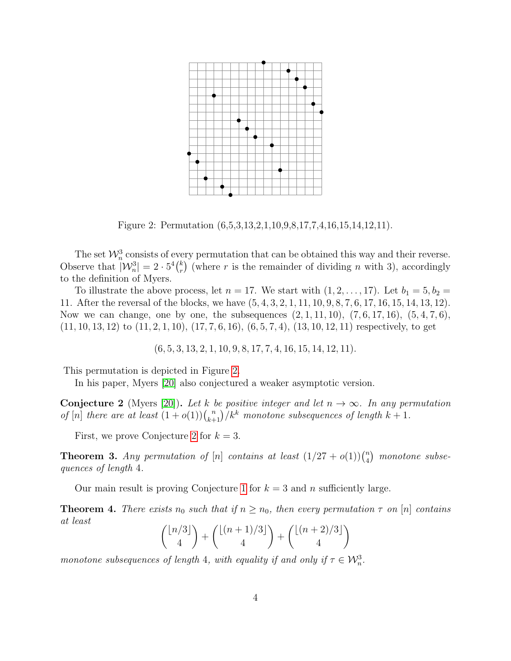

<span id="page-3-0"></span>Figure 2: Permutation (6,5,3,13,2,1,10,9,8,17,7,4,16,15,14,12,11).

The set  $\mathcal{W}_n^3$  consists of every permutation that can be obtained this way and their reverse. Observe that  $|\mathcal{W}_n^3| = 2 \cdot 5^4 {k \choose r}$  $\binom{k}{r}$  (where r is the remainder of dividing n with 3), accordingly to the definition of Myers.

To illustrate the above process, let  $n = 17$ . We start with  $(1, 2, \ldots, 17)$ . Let  $b_1 = 5, b_2 =$ 11. After the reversal of the blocks, we have (5, 4, 3, 2, 1, 11, 10, 9, 8, 7, 6, 17, 16, 15, 14, 13, 12). Now we can change, one by one, the subsequences  $(2, 1, 11, 10)$ ,  $(7, 6, 17, 16)$ ,  $(5, 4, 7, 6)$ ,  $(11, 10, 13, 12)$  to  $(11, 2, 1, 10)$ ,  $(17, 7, 6, 16)$ ,  $(6, 5, 7, 4)$ ,  $(13, 10, 12, 11)$  respectively, to get

 $(6, 5, 3, 13, 2, 1, 10, 9, 8, 17, 7, 4, 16, 15, 14, 12, 11).$ 

This permutation is depicted in Figure [2.](#page-3-0)

In his paper, Myers [\[20\]](#page-19-0) also conjectured a weaker asymptotic version.

<span id="page-3-1"></span>**Conjecture 2** (Myers [\[20\]](#page-19-0)). Let k be positive integer and let  $n \to \infty$ . In any permutation of [n] there are at least  $(1+o(1))\binom{n}{k+1}/k^k$  monotone subsequences of length  $k+1$ .

First, we prove Conjecture [2](#page-3-1) for  $k = 3$ .

<span id="page-3-2"></span>**Theorem 3.** Any permutation of [n] contains at least  $(1/27 + o(1))\binom{n}{4}$  $\binom{n}{4}$  monotone subsequences of length 4.

Our main result is proving Conjecture [1](#page-2-0) for  $k = 3$  and n sufficiently large.

<span id="page-3-3"></span>**Theorem 4.** There exists  $n_0$  such that if  $n \geq n_0$ , then every permutation  $\tau$  on [n] contains at least

$$
\binom{\lfloor n/3 \rfloor}{4} + \binom{\lfloor (n+1)/3 \rfloor}{4} + \binom{\lfloor (n+2)/3 \rfloor}{4}
$$

monotone subsequences of length 4, with equality if and only if  $\tau \in \mathcal{W}_n^3$ .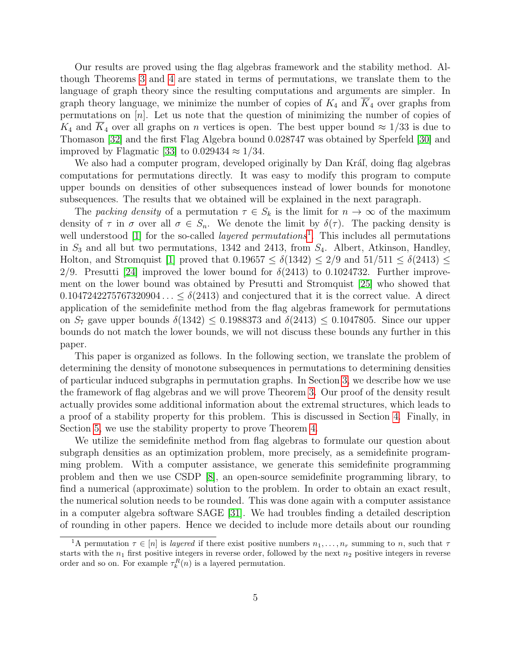Our results are proved using the flag algebras framework and the stability method. Although Theorems [3](#page-3-2) and [4](#page-3-3) are stated in terms of permutations, we translate them to the language of graph theory since the resulting computations and arguments are simpler. In graph theory language, we minimize the number of copies of  $K_4$  and  $K_4$  over graphs from permutations on  $[n]$ . Let us note that the question of minimizing the number of copies of  $K_4$  and  $K_4$  over all graphs on *n* vertices is open. The best upper bound  $\approx 1/33$  is due to Thomason [\[32\]](#page-19-1) and the first Flag Algebra bound 0.028747 was obtained by Sperfeld [\[30\]](#page-19-2) and improved by Flagmatic [\[33\]](#page-19-3) to  $0.029434 \approx 1/34$ .

We also had a computer program, developed originally by Dan Kráľ, doing flag algebras computations for permutations directly. It was easy to modify this program to compute upper bounds on densities of other subsequences instead of lower bounds for monotone subsequences. The results that we obtained will be explained in the next paragraph.

The packing density of a permutation  $\tau \in S_k$  is the limit for  $n \to \infty$  of the maximum density of  $\tau$  in  $\sigma$  over all  $\sigma \in S_n$ . We denote the limit by  $\delta(\tau)$ . The packing density is well understood [\[1\]](#page-17-0) for the so-called *layered permutations*<sup>[1](#page-0-0)</sup>. This includes all permutations in  $S_3$  and all but two permutations, 1342 and 2413, from  $S_4$ . Albert, Atkinson, Handley, Holton, and Stromquist [\[1\]](#page-17-0) proved that  $0.19657 \le \delta(1342) \le 2/9$  and  $51/511 \le \delta(2413) \le$ 2/9. Presutti [\[24\]](#page-19-4) improved the lower bound for  $\delta(2413)$  to 0.1024732. Further improvement on the lower bound was obtained by Presutti and Stromquist [\[25\]](#page-19-5) who showed that  $0.1047242275767320904... \leq \delta(2413)$  and conjectured that it is the correct value. A direct application of the semidefinite method from the flag algebras framework for permutations on  $S_7$  gave upper bounds  $\delta(1342) \leq 0.1988373$  and  $\delta(2413) \leq 0.1047805$ . Since our upper bounds do not match the lower bounds, we will not discuss these bounds any further in this paper.

This paper is organized as follows. In the following section, we translate the problem of determining the density of monotone subsequences in permutations to determining densities of particular induced subgraphs in permutation graphs. In Section [3,](#page-6-0) we describe how we use the framework of flag algebras and we will prove Theorem [3.](#page-3-2) Our proof of the density result actually provides some additional information about the extremal structures, which leads to a proof of a stability property for this problem. This is discussed in Section [4.](#page-10-0) Finally, in Section [5,](#page-14-0) we use the stability property to prove Theorem [4.](#page-3-3)

We utilize the semidefinite method from flag algebras to formulate our question about subgraph densities as an optimization problem, more precisely, as a semidefinite programming problem. With a computer assistance, we generate this semidefinite programming problem and then we use CSDP [\[8\]](#page-18-1), an open-source semidefinite programming library, to find a numerical (approximate) solution to the problem. In order to obtain an exact result, the numerical solution needs to be rounded. This was done again with a computer assistance in a computer algebra software SAGE [\[31\]](#page-19-6). We had troubles finding a detailed description of rounding in other papers. Hence we decided to include more details about our rounding

<sup>&</sup>lt;sup>1</sup>A permutation  $\tau \in [n]$  is layered if there exist positive numbers  $n_1, \ldots, n_r$  summing to n, such that  $\tau$ starts with the  $n_1$  first positive integers in reverse order, followed by the next  $n_2$  positive integers in reverse order and so on. For example  $\tau_k^R(n)$  is a layered permutation.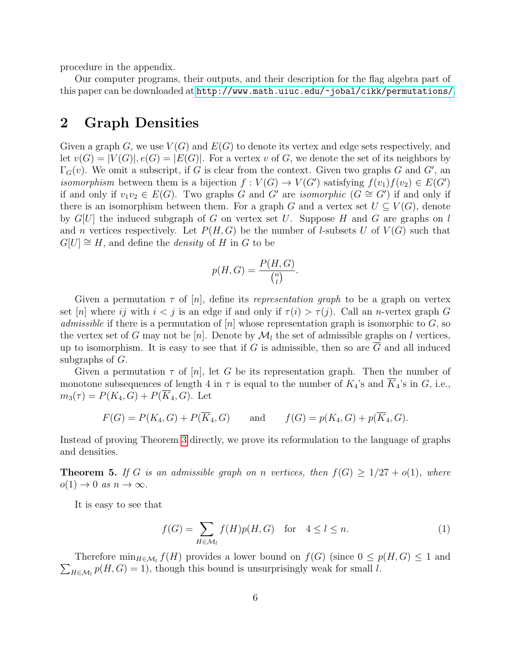procedure in the appendix.

Our computer programs, their outputs, and their description for the flag algebra part of this paper can be downloaded at <http://www.math.uiuc.edu/~jobal/cikk/permutations/>.

### <span id="page-5-0"></span>2 Graph Densities

Given a graph G, we use  $V(G)$  and  $E(G)$  to denote its vertex and edge sets respectively, and let  $v(G) = |V(G)|, e(G) = |E(G)|$ . For a vertex v of G, we denote the set of its neighbors by  $\Gamma_G(v)$ . We omit a subscript, if G is clear from the context. Given two graphs G and G', and isomorphism between them is a bijection  $f: V(G) \to V(G')$  satisfying  $f(v_1)f(v_2) \in E(G')$ if and only if  $v_1v_2 \in E(G)$ . Two graphs G and G' are *isomorphic*  $(G \cong G')$  if and only if there is an isomorphism between them. For a graph G and a vertex set  $U \subseteq V(G)$ , denote by  $G[U]$  the induced subgraph of G on vertex set U. Suppose H and G are graphs on l and n vertices respectively. Let  $P(H, G)$  be the number of l-subsets U of  $V(G)$  such that  $G[U] \cong H$ , and define the *density* of H in G to be

$$
p(H, G) = \frac{P(H, G)}{\binom{n}{l}}.
$$

Given a permutation  $\tau$  of  $[n]$ , define its *representation graph* to be a graph on vertex set [n] where ij with  $i < j$  is an edge if and only if  $\tau(i) > \tau(j)$ . Call an n-vertex graph G *admissible* if there is a permutation of  $[n]$  whose representation graph is isomorphic to G, so the vertex set of G may not be [n]. Denote by  $\mathcal{M}_l$  the set of admissible graphs on l vertices, up to isomorphism. It is easy to see that if G is admissible, then so are  $\overline{G}$  and all induced subgraphs of G.

Given a permutation  $\tau$  of [n], let G be its representation graph. Then the number of monotone subsequences of length 4 in  $\tau$  is equal to the number of  $K_4$ 's and  $\overline{K}_4$ 's in  $G$ , i.e.,  $m_3(\tau) = P(K_4, G) + P(\overline{K}_4, G)$ . Let

$$
F(G) = P(K_4, G) + P(\overline{K}_4, G)
$$
 and  $f(G) = p(K_4, G) + p(\overline{K}_4, G)$ .

Instead of proving Theorem [3](#page-3-2) directly, we prove its reformulation to the language of graphs and densities.

<span id="page-5-2"></span>**Theorem 5.** If G is an admissible graph on n vertices, then  $f(G) \geq 1/27 + o(1)$ , where  $o(1) \rightarrow 0$  as  $n \rightarrow \infty$ .

It is easy to see that

<span id="page-5-1"></span>
$$
f(G) = \sum_{H \in \mathcal{M}_l} f(H)p(H, G) \quad \text{for} \quad 4 \le l \le n. \tag{1}
$$

Therefore  $\min_{H \in \mathcal{M}_l} f(H)$  provides a lower bound on  $f(G)$  (since  $0 \leq p(H, G) \leq 1$  and  $\sum_{H \in \mathcal{M}_l} p(H, G) = 1$ , though this bound is unsurprisingly weak for small l.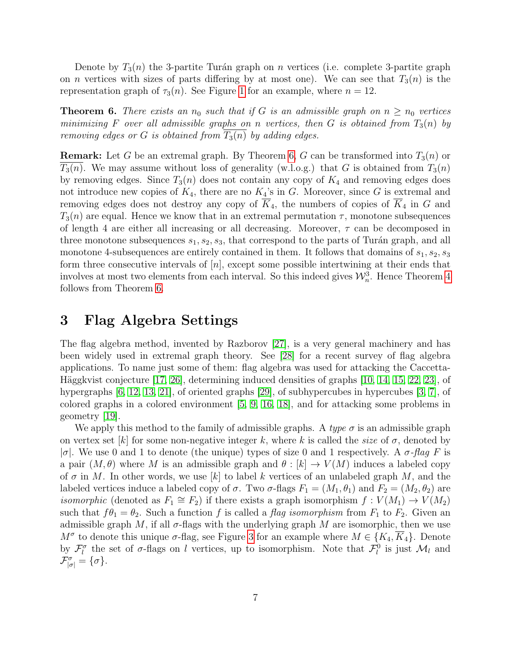Denote by  $T_3(n)$  the 3-partite Turán graph on n vertices (i.e. complete 3-partite graph on *n* vertices with sizes of parts differing by at most one). We can see that  $T_3(n)$  is the representation graph of  $\tau_3(n)$ . See Figure [1](#page-1-0) for an example, where  $n = 12$ .

<span id="page-6-1"></span>**Theorem 6.** There exists an  $n_0$  such that if G is an admissible graph on  $n \geq n_0$  vertices minimizing F over all admissible graphs on n vertices, then G is obtained from  $T_3(n)$  by removing edges or G is obtained from  $T_3(n)$  by adding edges.

**Remark:** Let G be an extremal graph. By Theorem [6,](#page-6-1) G can be transformed into  $T_3(n)$  or  $T_3(n)$ . We may assume without loss of generality (w.l.o.g.) that G is obtained from  $T_3(n)$ by removing edges. Since  $T_3(n)$  does not contain any copy of  $K_4$  and removing edges does not introduce new copies of  $K_4$ , there are no  $K_4$ 's in G. Moreover, since G is extremal and removing edges does not destroy any copy of  $\overline{K}_4$ , the numbers of copies of  $\overline{K}_4$  in G and  $T_3(n)$  are equal. Hence we know that in an extremal permutation  $\tau$ , monotone subsequences of length 4 are either all increasing or all decreasing. Moreover,  $\tau$  can be decomposed in three monotone subsequences  $s_1, s_2, s_3$ , that correspond to the parts of Turán graph, and all monotone 4-subsequences are entirely contained in them. It follows that domains of  $s_1, s_2, s_3$ form three consecutive intervals of  $[n]$ , except some possible intertwining at their ends that involves at most two elements from each interval. So this indeed gives  $\mathcal{W}_n^3$ . Hence Theorem [4](#page-3-3) follows from Theorem [6.](#page-6-1)

# <span id="page-6-0"></span>3 Flag Algebra Settings

The flag algebra method, invented by Razborov [\[27\]](#page-19-7), is a very general machinery and has been widely used in extremal graph theory. See [\[28\]](#page-19-8) for a recent survey of flag algebra applications. To name just some of them: flag algebra was used for attacking the Caccetta-Häggkvist conjecture  $\left[17, 26\right]$ , determining induced densities of graphs  $\left[10, 14, 15, 22, 23\right]$  $\left[10, 14, 15, 22, 23\right]$  $\left[10, 14, 15, 22, 23\right]$  $\left[10, 14, 15, 22, 23\right]$  $\left[10, 14, 15, 22, 23\right]$ , of hypergraphs [\[6,](#page-18-6) [12,](#page-18-7) [13,](#page-18-8) [21\]](#page-19-12), of oriented graphs [\[29\]](#page-19-13), of subhypercubes in hypercubes [\[3,](#page-18-9) [7\]](#page-18-10), of colored graphs in a colored environment [\[5,](#page-18-11) [9,](#page-18-12) [16,](#page-18-13) [18\]](#page-19-14), and for attacking some problems in geometry [\[19\]](#page-19-15).

We apply this method to the family of admissible graphs. A type  $\sigma$  is an admissible graph on vertex set [k] for some non-negative integer k, where k is called the size of  $\sigma$ , denoted by  $|\sigma|$ . We use 0 and 1 to denote (the unique) types of size 0 and 1 respectively. A  $\sigma$ -flag F is a pair  $(M, \theta)$  where M is an admissible graph and  $\theta : [k] \to V(M)$  induces a labeled copy of  $\sigma$  in M. In other words, we use [k] to label k vertices of an unlabeled graph M, and the labeled vertices induce a labeled copy of  $\sigma$ . Two  $\sigma$ -flags  $F_1 = (M_1, \theta_1)$  and  $F_2 = (M_2, \theta_2)$  are *isomorphic* (denoted as  $F_1 \cong F_2$ ) if there exists a graph isomorphism  $f : V(M_1) \to V(M_2)$ such that  $f\theta_1 = \theta_2$ . Such a function f is called a flag isomorphism from  $F_1$  to  $F_2$ . Given an admissible graph M, if all  $\sigma$ -flags with the underlying graph M are isomorphic, then we use  $M^{\sigma}$  to denote this unique  $\sigma$ -flag, see Figure [3](#page-7-0) for an example where  $M \in \{K_4, \overline{K}_4\}$ . Denote by  $\mathcal{F}_l^{\sigma}$  the set of  $\sigma$ -flags on l vertices, up to isomorphism. Note that  $\mathcal{F}_l^0$  is just  $\mathcal{M}_l$  and  $\mathcal{F}_{|\sigma|}^{\sigma} = {\sigma}.$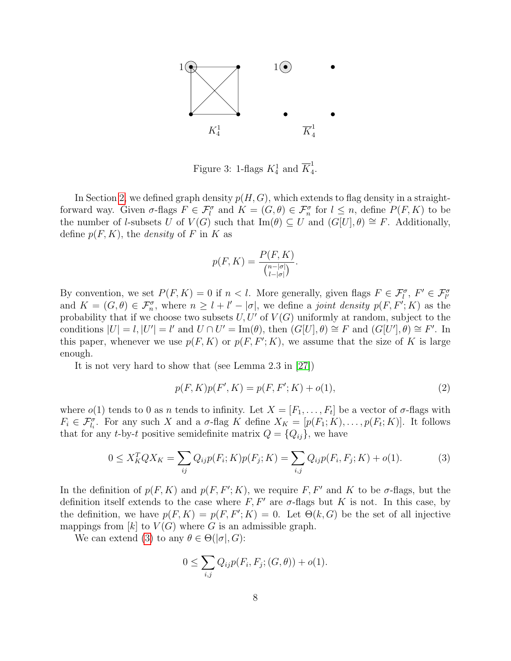

<span id="page-7-0"></span>Figure 3: 1-flags  $K_4^1$  and  $\overline{K}_4^1$ 4 .

In Section [2,](#page-5-0) we defined graph density  $p(H, G)$ , which extends to flag density in a straightforward way. Given  $\sigma$ -flags  $F \in \mathcal{F}_l^{\sigma}$  and  $K = (G, \theta) \in \mathcal{F}_n^{\sigma}$  for  $l \leq n$ , define  $P(F, K)$  to be the number of *l*-subsets U of  $V(G)$  such that Im( $\theta$ )  $\subseteq U$  and  $(G[U], \theta) \cong F$ . Additionally, define  $p(F, K)$ , the *density* of F in K as

$$
p(F, K) = \frac{P(F, K)}{\binom{n - |\sigma|}{l - |\sigma|}}.
$$

By convention, we set  $P(F, K) = 0$  if  $n < l$ . More generally, given flags  $F \in \mathcal{F}_l^{\sigma}$ ,  $F' \in \mathcal{F}_{l'}^{\sigma}$ and  $K = (G, \theta) \in \mathcal{F}_n^{\sigma}$ , where  $n \geq l + l' - |\sigma|$ , we define a joint density  $p(F, F'; K)$  as the probability that if we choose two subsets  $U, U'$  of  $V(G)$  uniformly at random, subject to the conditions  $|U|=l, |U'|=l'$  and  $U\cap U'=\text{Im}(\theta)$ , then  $(G[U], \theta) \cong F$  and  $(G[U'], \theta) \cong F'$ . In this paper, whenever we use  $p(F, K)$  or  $p(F, F'; K)$ , we assume that the size of K is large enough.

It is not very hard to show that (see Lemma 2.3 in [\[27\]](#page-19-7))

$$
p(F, K)p(F', K) = p(F, F'; K) + o(1),
$$
\n(2)

where  $o(1)$  tends to 0 as n tends to infinity. Let  $X = [F_1, \ldots, F_t]$  be a vector of  $\sigma$ -flags with  $F_i \in \mathcal{F}_{l_i}^{\sigma}$ . For any such X and a  $\sigma$ -flag K define  $X_K = [p(F_1; K), \ldots, p(F_t; K)]$ . It follows that for any *t*-by-*t* positive semidefinite matrix  $Q = \{Q_{ij}\}\$ , we have

<span id="page-7-1"></span>
$$
0 \le X_K^T Q X_K = \sum_{ij} Q_{ij} p(F_i; K) p(F_j; K) = \sum_{i,j} Q_{ij} p(F_i, F_j; K) + o(1).
$$
 (3)

In the definition of  $p(F, K)$  and  $p(F, F'; K)$ , we require F, F' and K to be  $\sigma$ -flags, but the definition itself extends to the case where  $F, F'$  are  $\sigma$ -flags but K is not. In this case, by the definition, we have  $p(F, K) = p(F, F'; K) = 0$ . Let  $\Theta(k, G)$  be the set of all injective mappings from  $[k]$  to  $V(G)$  where G is an admissible graph.

We can extend [\(3\)](#page-7-1) to any  $\theta \in \Theta(|\sigma|, G)$ :

$$
0 \leq \sum_{i,j} Q_{ij} p(F_i, F_j; (G, \theta)) + o(1).
$$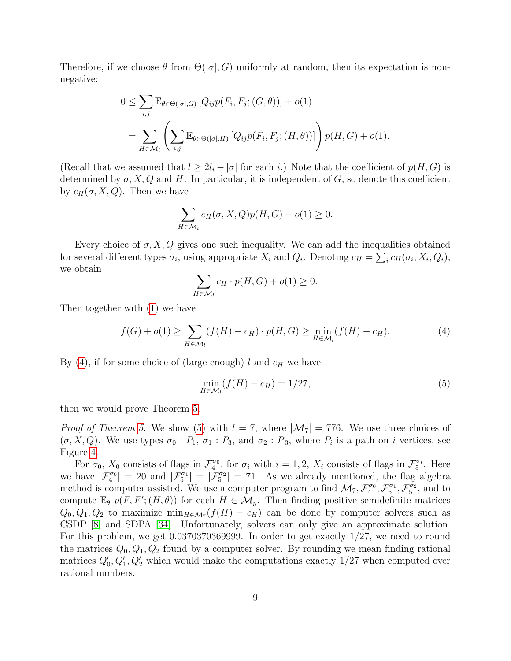Therefore, if we choose  $\theta$  from  $\Theta(|\sigma|, G)$  uniformly at random, then its expectation is nonnegative:

$$
0 \leq \sum_{i,j} \mathbb{E}_{\theta \in \Theta(|\sigma|, G)} \left[ Q_{ij} p(F_i, F_j; (G, \theta)) \right] + o(1)
$$
  
= 
$$
\sum_{H \in \mathcal{M}_l} \left( \sum_{i,j} \mathbb{E}_{\theta \in \Theta(|\sigma|, H)} \left[ Q_{ij} p(F_i, F_j; (H, \theta)) \right] \right) p(H, G) + o(1).
$$

(Recall that we assumed that  $l \geq 2l_i - |\sigma|$  for each i.) Note that the coefficient of  $p(H, G)$  is determined by  $\sigma$ , X, Q and H. In particular, it is independent of G, so denote this coefficient by  $c_H(\sigma, X, Q)$ . Then we have

$$
\sum_{H \in \mathcal{M}_l} c_H(\sigma, X, Q) p(H, G) + o(1) \ge 0.
$$

Every choice of  $\sigma$ , X, Q gives one such inequality. We can add the inequalities obtained for several different types  $\sigma_i$ , using appropriate  $X_i$  and  $Q_i$ . Denoting  $c_H = \sum_i c_H(\sigma_i, X_i, Q_i)$ , we obtain

$$
\sum_{H \in \mathcal{M}_l} c_H \cdot p(H, G) + o(1) \ge 0.
$$

Then together with [\(1\)](#page-5-1) we have

<span id="page-8-0"></span>
$$
f(G) + o(1) \ge \sum_{H \in \mathcal{M}_l} (f(H) - c_H) \cdot p(H, G) \ge \min_{H \in \mathcal{M}_l} (f(H) - c_H). \tag{4}
$$

By [\(4\)](#page-8-0), if for some choice of (large enough) l and  $c_H$  we have

<span id="page-8-1"></span>
$$
\min_{H \in \mathcal{M}_l} (f(H) - c_H) = 1/27,\tag{5}
$$

then we would prove Theorem [5.](#page-5-2)

*Proof of Theorem [5.](#page-5-2)* We show [\(5\)](#page-8-1) with  $l = 7$ , where  $|\mathcal{M}_7| = 776$ . We use three choices of  $(\sigma, X, Q)$ . We use types  $\sigma_0 : P_1, \sigma_1 : P_3$ , and  $\sigma_2 : P_3$ , where  $P_i$  is a path on i vertices, see Figure [4.](#page-9-0)

For  $\sigma_0$ ,  $X_0$  consists of flags in  $\mathcal{F}_4^{\sigma_0}$ , for  $\sigma_i$  with  $i=1,2$ ,  $X_i$  consists of flags in  $\mathcal{F}_5^{\sigma_i}$ . Here we have  $|\mathcal{F}_4^{\sigma_0}| = 20$  and  $|\mathcal{F}_5^{\sigma_1}| = |\mathcal{F}_5^{\sigma_2}| = 71$ . As we already mentioned, the flag algebra method is computer assisted. We use a computer program to find  $\mathcal{M}_7, \mathcal{F}_4^{\sigma_0}, \mathcal{F}_5^{\sigma_1}, \mathcal{F}_5^{\sigma_2}$ , and to compute  $\mathbb{E}_{\theta} p(F, F'; (H, \theta))$  for each  $H \in \mathcal{M}_y$ . Then finding positive semidefinite matrices  $Q_0, Q_1, Q_2$  to maximize  $\min_{H \in \mathcal{M}_7}(f(H) - c_H)$  can be done by computer solvers such as CSDP [\[8\]](#page-18-1) and SDPA [\[34\]](#page-19-16). Unfortunately, solvers can only give an approximate solution. For this problem, we get  $0.0370370369999$ . In order to get exactly  $1/27$ , we need to round the matrices  $Q_0, Q_1, Q_2$  found by a computer solver. By rounding we mean finding rational matrices  $Q'_0, Q'_1, Q'_2$  which would make the computations exactly  $1/27$  when computed over rational numbers.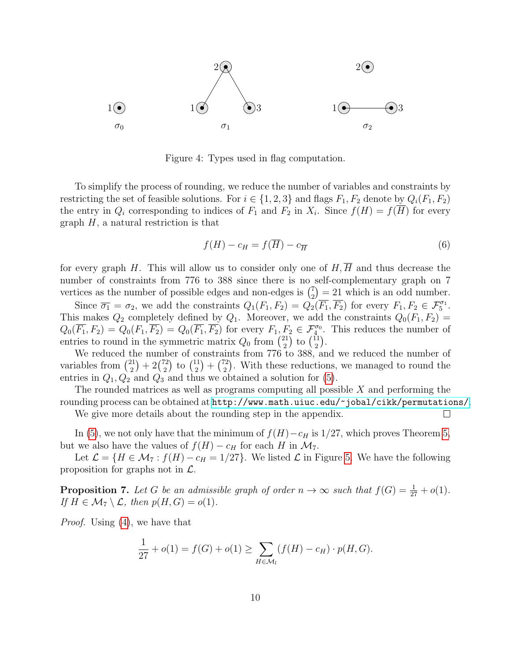

<span id="page-9-0"></span>Figure 4: Types used in flag computation.

To simplify the process of rounding, we reduce the number of variables and constraints by restricting the set of feasible solutions. For  $i \in \{1, 2, 3\}$  and flags  $F_1, F_2$  denote by  $Q_i(F_1, F_2)$ the entry in  $Q_i$  corresponding to indices of  $F_1$  and  $F_2$  in  $X_i$ . Since  $f(H) = f(H)$  for every graph  $H$ , a natural restriction is that

$$
f(H) - c_H = f(\overline{H}) - c_{\overline{H}}
$$
\n<sup>(6)</sup>

for every graph H. This will allow us to consider only one of  $H, \overline{H}$  and thus decrease the number of constraints from 776 to 388 since there is no self-complementary graph on 7 vertices as the number of possible edges and non-edges is  $\binom{7}{2}$  $\binom{7}{2}$  = 21 which is an odd number.

Since  $\overline{\sigma_1} = \sigma_2$ , we add the constraints  $Q_1(F_1, F_2) = Q_2(\overline{F_1}, \overline{F_2})$  for every  $F_1, F_2 \in \mathcal{F}_5^{\sigma_1}$ . This makes  $Q_2$  completely defined by  $Q_1$ . Moreover, we add the constraints  $Q_0(F_1, F_2)$  =  $Q_0(\overline{F_1}, F_2) = Q_0(F_1, \overline{F_2}) = Q_0(\overline{F_1}, \overline{F_2})$  for every  $F_1, F_2 \in \mathcal{F}_4^{\sigma_0}$ . This reduces the number of entries to round in the symmetric matrix  $Q_0$  from  $\binom{21}{2}$  $\binom{21}{2}$  to  $\binom{11}{2}$  $\binom{11}{2}$ .

We reduced the number of constraints from 776 to 388, and we reduced the number of variables from  $\binom{21}{2}$  $\binom{21}{2}+2\binom{72}{2}$  $\binom{72}{2}$  to  $\binom{11}{2}$  $\binom{11}{2} + \binom{72}{2}$  $\binom{2}{2}$ . With these reductions, we managed to round the entries in  $Q_1, Q_2$  and  $Q_3$  and thus we obtained a solution for [\(5\)](#page-8-1).

The rounded matrices as well as programs computing all possible  $X$  and performing the rounding process can be obtained at <http://www.math.uiuc.edu/~jobal/cikk/permutations/>.

We give more details about the rounding step in the appendix.

In [\(5\)](#page-8-1), we not only have that the minimum of  $f(H)-c_H$  is 1/27, which proves Theorem [5,](#page-5-2) but we also have the values of  $f(H) - c_H$  for each H in  $\mathcal{M}_7$ .

Let  $\mathcal{L} = \{H \in \mathcal{M}_7 : f(H) - c_H = 1/27\}$ . We listed  $\mathcal{L}$  in Figure [5.](#page-10-1) We have the following proposition for graphs not in  $\mathcal{L}$ .

<span id="page-9-1"></span>**Proposition 7.** Let G be an admissible graph of order  $n \to \infty$  such that  $f(G) = \frac{1}{27} + o(1)$ . If  $H \in \mathcal{M}_7 \setminus \mathcal{L}$ , then  $p(H, G) = o(1)$ .

Proof. Using [\(4\)](#page-8-0), we have that

$$
\frac{1}{27} + o(1) = f(G) + o(1) \ge \sum_{H \in \mathcal{M}_l} (f(H) - c_H) \cdot p(H, G).
$$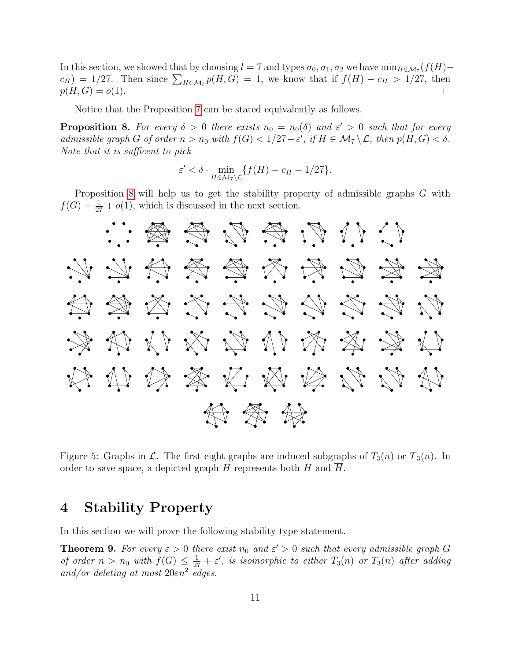In this section, we showed that by choosing  $l = 7$  and types  $\sigma_0, \sigma_1, \sigma_2$  we have  $\min_{H \in \mathcal{M}_7}(f(H)$  $c_H$ ) = 1/27. Then since  $\sum_{H \in \mathcal{M}_l} p(H, G) = 1$ , we know that if  $f(H) - c_H > 1/27$ , then  $p(H, G) = o(1).$  $\Box$ 

Notice that the Proposition [7](#page-9-1) can be stated equivalently as follows.

<span id="page-10-2"></span>**Proposition 8.** For every  $\delta > 0$  there exists  $n_0 = n_0(\delta)$  and  $\varepsilon' > 0$  such that for every admissible graph G of order  $n > n_0$  with  $f(G) < 1/27 + \varepsilon'$ , if  $H \in \mathcal{M}_7 \backslash \mathcal{L}$ , then  $p(H, G) < \delta$ . Note that it is sufficent to pick

$$
\varepsilon' < \delta \cdot \min_{H \in \mathcal{M}_7 \setminus \mathcal{L}} \{ f(H) - c_H - 1/27 \}.
$$

Proposition [8](#page-10-2) will help us to get the stability property of admissible graphs G with  $f(G) = \frac{1}{27} + o(1)$ , which is discussed in the next section.



<span id="page-10-1"></span>Figure 5: Graphs in  $\mathcal{L}$ . The first eight graphs are induced subgraphs of  $T_3(n)$  or  $T_3(n)$ . In order to save space, a depicted graph H represents both H and  $\overline{H}$ .

# <span id="page-10-0"></span>4 Stability Property

In this section we will prove the following stability type statement.

<span id="page-10-3"></span>**Theorem 9.** For every  $\varepsilon > 0$  there exist  $n_0$  and  $\varepsilon' > 0$  such that every admissible graph G of order  $n > n_0$  with  $f(G) \leq \frac{1}{27} + \varepsilon'$ , is isomorphic to either  $T_3(n)$  or  $\overline{T_3(n)}$  after adding and/or deleting at most  $20\varepsilon n^2$  edges.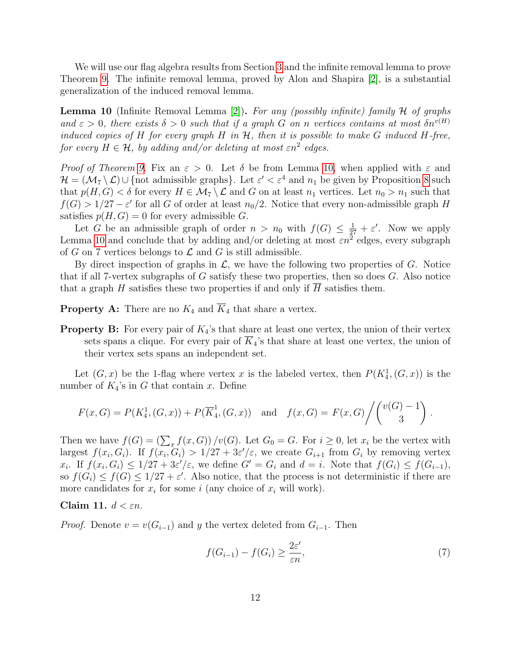We will use our flag algebra results from Section [3](#page-6-0) and the infinite removal lemma to prove Theorem [9.](#page-10-3) The infinite removal lemma, proved by Alon and Shapira [\[2\]](#page-18-14), is a substantial generalization of the induced removal lemma.

<span id="page-11-0"></span>**Lemma 10** (Infinite Removal Lemma [\[2\]](#page-18-14)). For any (possibly infinite) family H of graphs and  $\varepsilon > 0$ , there exists  $\delta > 0$  such that if a graph G on n vertices contains at most  $\delta n^{v(H)}$ induced copies of H for every graph H in  $H$ , then it is possible to make G induced H-free, for every  $H \in \mathcal{H}$ , by adding and/or deleting at most  $\varepsilon n^2$  edges.

Proof of Theorem [9.](#page-10-3) Fix an  $\varepsilon > 0$ . Let  $\delta$  be from Lemma [10,](#page-11-0) when applied with  $\varepsilon$  and  $\mathcal{H} = (\mathcal{M}_7 \setminus \mathcal{L}) \cup \{\text{not admissible graphs}\}.$  Let  $\varepsilon' < \varepsilon^4$  and  $n_1$  be given by Proposition [8](#page-10-2) such that  $p(H, G) < \delta$  for every  $H \in \mathcal{M}_7 \setminus \mathcal{L}$  and G on at least  $n_1$  vertices. Let  $n_0 > n_1$  such that  $f(G) > 1/27 - \varepsilon'$  for all G of order at least  $n_0/2$ . Notice that every non-admissible graph H satisfies  $p(H, G) = 0$  for every admissible G.

Let G be an admissible graph of order  $n > n_0$  with  $f(G) \leq \frac{1}{27} + \varepsilon'$ . Now we apply Lemma [10](#page-11-0) and conclude that by adding and/or deleting at most  $\varepsilon n^2$  edges, every subgraph of G on 7 vertices belongs to  $\mathcal L$  and G is still admissible.

By direct inspection of graphs in  $\mathcal{L}$ , we have the following two properties of  $G$ . Notice that if all 7-vertex subgraphs of G satisfy these two properties, then so does G. Also notice that a graph H satisfies these two properties if and only if  $\overline{H}$  satisfies them.

**Property A:** There are no  $K_4$  and  $\overline{K}_4$  that share a vertex.

**Property B:** For every pair of  $K_4$ 's that share at least one vertex, the union of their vertex sets spans a clique. For every pair of  $\overline{K}_{4}$ 's that share at least one vertex, the union of their vertex sets spans an independent set.

Let  $(G, x)$  be the 1-flag where vertex x is the labeled vertex, then  $P(K_4^1, (G, x))$  is the number of  $K_4$ 's in G that contain x. Define

$$
F(x, G) = P(K_4^1, (G, x)) + P(\overline{K}_4^1, (G, x)) \text{ and } f(x, G) = F(x, G) / \binom{v(G) - 1}{3}.
$$

Then we have  $f(G) = \left(\sum_x f(x, G)\right)/v(G)$ . Let  $G_0 = G$ . For  $i \geq 0$ , let  $x_i$  be the vertex with largest  $f(x_i, G_i)$ . If  $f(x_i, G_i) > 1/27 + 3\varepsilon'/\varepsilon$ , we create  $G_{i+1}$  from  $G_i$  by removing vertex  $x_i$ . If  $f(x_i, G_i) \leq 1/27 + 3\varepsilon'/\varepsilon$ , we define  $G' = G_i$  and  $d = i$ . Note that  $f(G_i) \leq f(G_{i-1}),$ so  $f(G_i) \le f(G) \le 1/27 + \varepsilon'$ . Also notice, that the process is not deterministic if there are more candidates for  $x_i$  for some i (any choice of  $x_i$  will work).

#### Claim 11.  $d < \varepsilon n$ .

*Proof.* Denote  $v = v(G_{i-1})$  and y the vertex deleted from  $G_{i-1}$ . Then

$$
f(G_{i-1}) - f(G_i) \ge \frac{2\varepsilon'}{\varepsilon n},\tag{7}
$$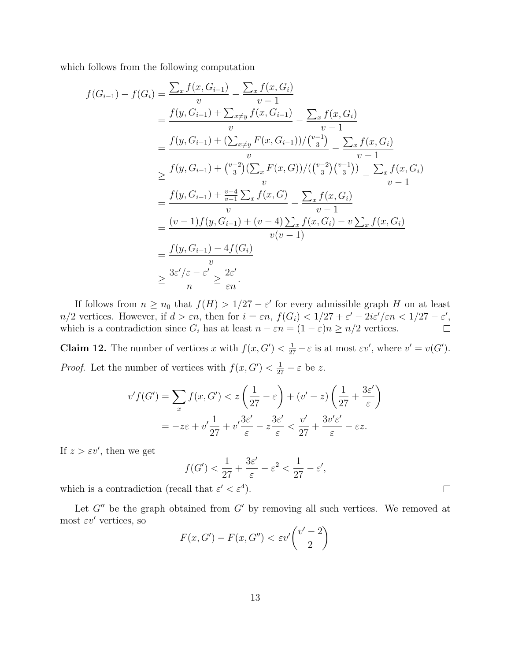which follows from the following computation

$$
f(G_{i-1}) - f(G_i) = \frac{\sum_x f(x, G_{i-1})}{v} - \frac{\sum_x f(x, G_i)}{v - 1}
$$
  
\n
$$
= \frac{f(y, G_{i-1}) + \sum_{x \neq y} f(x, G_{i-1})}{v} - \frac{\sum_x f(x, G_i)}{v - 1}
$$
  
\n
$$
= \frac{f(y, G_{i-1}) + (\sum_{x \neq y} F(x, G_{i-1})) / {v-1 \choose 3}}{v} - \frac{\sum_x f(x, G_i)}{v - 1}
$$
  
\n
$$
\geq \frac{f(y, G_{i-1}) + {v-2 \choose 3} (\sum_x F(x, G)) / ({v-2 \choose 3} {v-1 \choose 3})}{v}
$$
  
\n
$$
= \frac{f(y, G_{i-1}) + \frac{v-4}{v-1} \sum_x f(x, G)}{v} - \frac{\sum_x f(x, G_i)}{v - 1}
$$
  
\n
$$
= \frac{(v-1) f(y, G_{i-1}) + (v-4) \sum_x f(x, G_i) - v \sum_x f(x, G_i)}{v(v-1)}
$$
  
\n
$$
= \frac{f(y, G_{i-1}) - 4f(G_i)}{v}
$$
  
\n
$$
\geq \frac{3\varepsilon'/\varepsilon - \varepsilon'}{\frac{v}{n}} \geq \frac{2\varepsilon'}{\varepsilon n}.
$$

If follows from  $n \geq n_0$  that  $f(H) > 1/27 - \varepsilon'$  for every admissible graph H on at least  $n/2$  vertices. However, if  $d > \varepsilon n$ , then for  $i = \varepsilon n$ ,  $f(G_i) < 1/27 + \varepsilon' - 2i\varepsilon'/\varepsilon n < 1/27 - \varepsilon'$ , which is a contradiction since  $G_i$  has at least  $n - \varepsilon n = (1 - \varepsilon)n \ge n/2$  vertices.  $\Box$ 

**Claim 12.** The number of vertices x with  $f(x, G') < \frac{1}{27} - \varepsilon$  is at most  $\varepsilon v'$ , where  $v' = v(G')$ . *Proof.* Let the number of vertices with  $f(x, G') < \frac{1}{27} - \varepsilon$  be z.

$$
v'f(G') = \sum_{x} f(x, G') < z\left(\frac{1}{27} - \varepsilon\right) + (v' - z)\left(\frac{1}{27} + \frac{3\varepsilon'}{\varepsilon}\right)
$$
\n
$$
= -z\varepsilon + v'\frac{1}{27} + v'\frac{3\varepsilon'}{\varepsilon} - z\frac{3\varepsilon'}{\varepsilon} < \frac{v'}{27} + \frac{3v'\varepsilon'}{\varepsilon} - \varepsilon z.
$$

If  $z > \varepsilon v'$ , then we get

$$
f(G') < \frac{1}{27} + \frac{3\varepsilon'}{\varepsilon} - \varepsilon^2 < \frac{1}{27} - \varepsilon',
$$

which is a contradiction (recall that  $\varepsilon' < \varepsilon^4$ ).

Let  $G''$  be the graph obtained from  $G'$  by removing all such vertices. We removed at most  $\varepsilon v'$  vertices, so

$$
F(x, G') - F(x, G'') < \varepsilon v' \binom{v' - 2}{2}
$$

 $\Box$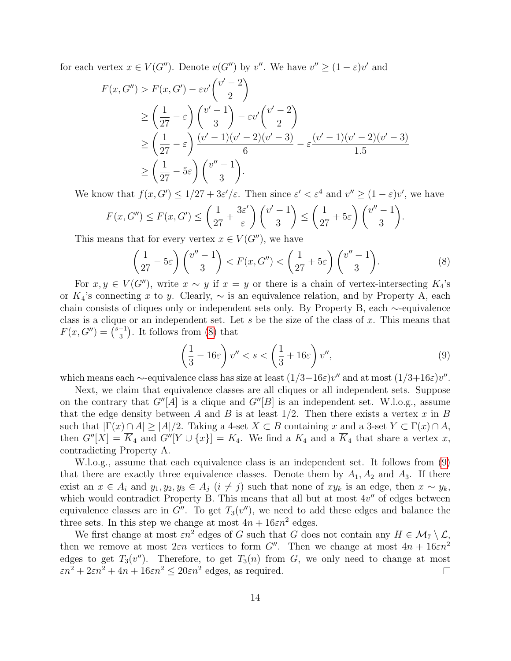for each vertex  $x \in V(G'')$ . Denote  $v(G'')$  by v''. We have  $v'' \ge (1 - \varepsilon)v'$  and

$$
F(x, G'') > F(x, G') - \varepsilon v' \binom{v' - 2}{2}
$$
  
\n
$$
\ge \left(\frac{1}{27} - \varepsilon\right) \binom{v' - 1}{3} - \varepsilon v' \binom{v' - 2}{2}
$$
  
\n
$$
\ge \left(\frac{1}{27} - \varepsilon\right) \frac{(v' - 1)(v' - 2)(v' - 3)}{6} - \varepsilon \frac{(v' - 1)(v' - 2)(v' - 3)}{1.5}
$$
  
\n
$$
\ge \left(\frac{1}{27} - 5\varepsilon\right) \binom{v'' - 1}{3}.
$$

We know that  $f(x, G') \leq 1/27 + 3\varepsilon'/\varepsilon$ . Then since  $\varepsilon' < \varepsilon^4$  and  $v'' \geq (1 - \varepsilon)v'$ , we have

$$
F(x, G'') \le F(x, G') \le \left(\frac{1}{27} + \frac{3\varepsilon'}{\varepsilon}\right) {v'-1 \choose 3} \le \left(\frac{1}{27} + 5\varepsilon\right) {v''-1 \choose 3}.
$$

This means that for every vertex  $x \in V(G'')$ , we have

<span id="page-13-0"></span>
$$
\left(\frac{1}{27} - 5\varepsilon\right) \binom{v'' - 1}{3} < F(x, G'') < \left(\frac{1}{27} + 5\varepsilon\right) \binom{v'' - 1}{3}.\tag{8}
$$

For  $x, y \in V(G'')$ , write  $x \sim y$  if  $x = y$  or there is a chain of vertex-intersecting  $K_4$ 's or K<sub>4</sub>'s connecting x to y. Clearly,  $\sim$  is an equivalence relation, and by Property A, each chain consists of cliques only or independent sets only. By Property B, each ∼-equivalence class is a clique or an independent set. Let s be the size of the class of  $x$ . This means that  $F(x, G'') = \binom{s-1}{3}$  $\binom{-1}{3}$ . It follows from [\(8\)](#page-13-0) that

<span id="page-13-1"></span>
$$
\left(\frac{1}{3} - 16\varepsilon\right)v'' < s < \left(\frac{1}{3} + 16\varepsilon\right)v'',\tag{9}
$$

which means each  $\sim$ -equivalence class has size at least  $(1/3-16\varepsilon)v''$  and at most  $(1/3+16\varepsilon)v''$ .

Next, we claim that equivalence classes are all cliques or all independent sets. Suppose on the contrary that  $G''[A]$  is a clique and  $G''[B]$  is an independent set. W.l.o.g., assume that the edge density between A and B is at least  $1/2$ . Then there exists a vertex x in B such that  $|\Gamma(x) \cap A| \geq |A|/2$ . Taking a 4-set  $X \subset B$  containing x and a 3-set  $Y \subset \Gamma(x) \cap A$ , then  $G''[X] = \overline{K}_4$  and  $G''[Y \cup \{x\}] = K_4$ . We find a  $K_4$  and a  $\overline{K}_4$  that share a vertex x, contradicting Property A.

W.l.o.g., assume that each equivalence class is an independent set. It follows from [\(9\)](#page-13-1) that there are exactly three equivalence classes. Denote them by  $A_1, A_2$  and  $A_3$ . If there exist an  $x \in A_i$  and  $y_1, y_2, y_3 \in A_j$   $(i \neq j)$  such that none of  $xy_k$  is an edge, then  $x \sim y_k$ , which would contradict Property B. This means that all but at most  $4v''$  of edges between equivalence classes are in  $G''$ . To get  $T_3(v'')$ , we need to add these edges and balance the three sets. In this step we change at most  $4n + 16\epsilon n^2$  edges.

We first change at most  $\varepsilon n^2$  edges of G such that G does not contain any  $H \in \mathcal{M}_7 \setminus \mathcal{L}$ , then we remove at most  $2\varepsilon n$  vertices to form G''. Then we change at most  $4n + 16\varepsilon n^2$ edges to get  $T_3(v'')$ . Therefore, to get  $T_3(n)$  from G, we only need to change at most  $\epsilon n^2 + 2\epsilon n^2 + 4n + 16\epsilon n^2 \leq 20\epsilon n^2$  edges, as required.  $\Box$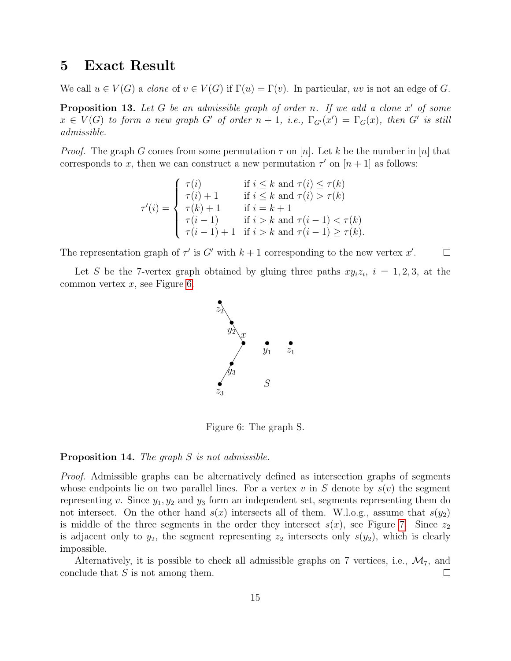## <span id="page-14-0"></span>5 Exact Result

We call  $u \in V(G)$  a *clone* of  $v \in V(G)$  if  $\Gamma(u) = \Gamma(v)$ . In particular, uv is not an edge of G.

<span id="page-14-2"></span>**Proposition 13.** Let  $G$  be an admissible graph of order n. If we add a clone  $x'$  of some  $x \in V(G)$  to form a new graph G' of order  $n + 1$ , i.e.,  $\Gamma_{G'}(x') = \Gamma_G(x)$ , then G' is still admissible.

*Proof.* The graph G comes from some permutation  $\tau$  on  $[n]$ . Let k be the number in [n] that corresponds to x, then we can construct a new permutation  $\tau'$  on  $[n+1]$  as follows:

$$
\tau'(i) = \begin{cases}\n\tau(i) & \text{if } i \leq k \text{ and } \tau(i) \leq \tau(k) \\
\tau(i) + 1 & \text{if } i \leq k \text{ and } \tau(i) > \tau(k) \\
\tau(k) + 1 & \text{if } i = k + 1 \\
\tau(i - 1) & \text{if } i > k \text{ and } \tau(i - 1) < \tau(k) \\
\tau(i - 1) + 1 & \text{if } i > k \text{ and } \tau(i - 1) \geq \tau(k).\n\end{cases}
$$

The representation graph of  $\tau'$  is G' with  $k+1$  corresponding to the new vertex x'.  $\Box$ 

Let S be the 7-vertex graph obtained by gluing three paths  $xy_iz_i$ ,  $i = 1, 2, 3$ , at the common vertex  $x$ , see Figure [6.](#page-14-1)



<span id="page-14-1"></span>Figure 6: The graph S.

#### <span id="page-14-3"></span>Proposition 14. The graph S is not admissible.

Proof. Admissible graphs can be alternatively defined as intersection graphs of segments whose endpoints lie on two parallel lines. For a vertex v in S denote by  $s(v)$  the segment representing v. Since  $y_1, y_2$  and  $y_3$  form an independent set, segments representing them do not intersect. On the other hand  $s(x)$  intersects all of them. W.l.o.g., assume that  $s(y_2)$ is middle of the three segments in the order they intersect  $s(x)$ , see Figure [7.](#page-15-0) Since  $z_2$ is adjacent only to  $y_2$ , the segment representing  $z_2$  intersects only  $s(y_2)$ , which is clearly impossible.

Alternatively, it is possible to check all admissible graphs on 7 vertices, i.e.,  $\mathcal{M}_7$ , and conclude that  $S$  is not among them.  $\Box$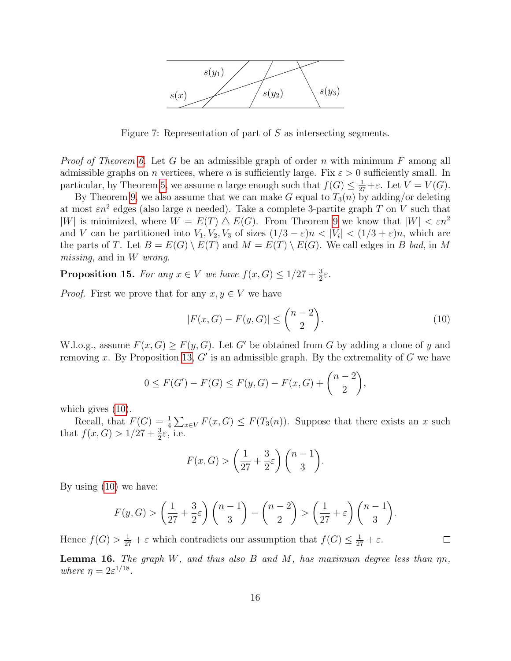

<span id="page-15-0"></span>Figure 7: Representation of part of  $S$  as intersecting segments.

*Proof of Theorem [6.](#page-6-1)* Let G be an admissible graph of order n with minimum F among all admissible graphs on *n* vertices, where *n* is sufficiently large. Fix  $\varepsilon > 0$  sufficiently small. In particular, by Theorem [5,](#page-5-2) we assume n large enough such that  $f(G) \leq \frac{1}{27} + \varepsilon$ . Let  $V = V(G)$ .

By Theorem [9,](#page-10-3) we also assume that we can make G equal to  $T_3(n)$  by adding/or deleting at most  $\varepsilon n^2$  edges (also large n needed). Take a complete 3-partite graph T on V such that |W| is minimized, where  $W = E(T) \triangle E(G)$ . From Theorem [9](#page-10-3) we know that  $|W| < \varepsilon n^2$ and V can be partitioned into  $V_1, V_2, V_3$  of sizes  $(1/3 - \varepsilon)n < |V_i| < (1/3 + \varepsilon)n$ , which are the parts of T. Let  $B = E(G) \setminus E(T)$  and  $M = E(T) \setminus E(G)$ . We call edges in B bad, in M missing, and in W wrong.

<span id="page-15-2"></span>**Proposition 15.** For any  $x \in V$  we have  $f(x, G) \leq 1/27 + \frac{3}{2}\varepsilon$ .

*Proof.* First we prove that for any  $x, y \in V$  we have

$$
|F(x, G) - F(y, G)| \le \binom{n-2}{2}.
$$
\n(10)

<span id="page-15-1"></span> $\Box$ 

W.l.o.g., assume  $F(x, G) \geq F(y, G)$ . Let G' be obtained from G by adding a clone of y and removing x. By Proposition [13,](#page-14-2)  $G'$  is an admissible graph. By the extremality of G we have

$$
0 \le F(G') - F(G) \le F(y, G) - F(x, G) + {n-2 \choose 2},
$$

which gives  $(10)$ .

Recall, that  $F(G) = \frac{1}{4} \sum_{x \in V} F(x, G) \leq F(T_3(n))$ . Suppose that there exists an x such that  $f(x, G) > 1/27 + \frac{3}{2}\varepsilon$ , i.e.

$$
F(x, G) > \left(\frac{1}{27} + \frac{3}{2}\varepsilon\right) {n-1 \choose 3}.
$$

By using [\(10\)](#page-15-1) we have:

$$
F(y, G) > \left(\frac{1}{27} + \frac{3}{2}\varepsilon\right)\binom{n-1}{3} - \binom{n-2}{2} > \left(\frac{1}{27} + \varepsilon\right)\binom{n-1}{3}.
$$

Hence  $f(G) > \frac{1}{27} + \varepsilon$  which contradicts our assumption that  $f(G) \leq \frac{1}{27} + \varepsilon$ .

<span id="page-15-3"></span>**Lemma 16.** The graph W, and thus also B and M, has maximum degree less than  $\eta n$ , where  $\eta = 2\varepsilon^{1/18}$ .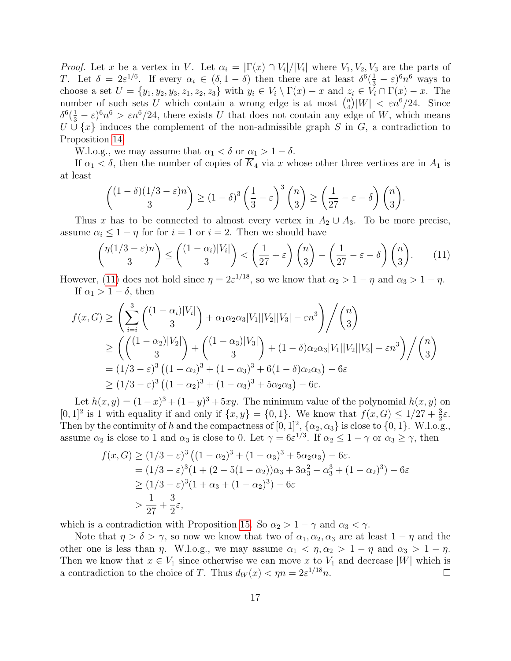*Proof.* Let x be a vertex in V. Let  $\alpha_i = |\Gamma(x) \cap V_i|/|V_i|$  where  $V_1, V_2, V_3$  are the parts of T. Let  $\delta = 2\varepsilon^{1/6}$ . If every  $\alpha_i \in (\delta, 1-\delta)$  then there are at least  $\delta^6(\frac{1}{3}-\varepsilon)^6 n^6$  ways to choose a set  $U = \{y_1, y_2, y_3, z_1, z_2, z_3\}$  with  $y_i \in V_i \setminus \Gamma(x) - x$  and  $z_i \in V_i \cap \Gamma(x) - x$ . The number of such sets U which contain a wrong edge is at most  $\binom{n}{4}$  $\binom{n}{4}|W| < \varepsilon n^6/24.$  Since  $\delta^6(\frac{1}{3}-\varepsilon)^6 n^6 > \varepsilon n^6/24$ , there exists U that does not contain any edge of W, which means  $U \cup \{x\}$  induces the complement of the non-admissible graph S in G, a contradiction to Proposition [14.](#page-14-3)

W.l.o.g., we may assume that  $\alpha_1 < \delta$  or  $\alpha_1 > 1 - \delta$ .

If  $\alpha_1 < \delta$ , then the number of copies of  $\overline{K}_4$  via x whose other three vertices are in  $A_1$  is at least

$$
{\binom{(1-\delta)(1/3-\varepsilon)n}{3}} \ge (1-\delta)^3 \left(\frac{1}{3}-\varepsilon\right)^3 {n \choose 3} \ge \left(\frac{1}{27}-\varepsilon-\delta\right){\binom{n}{3}}.
$$

Thus x has to be connected to almost every vertex in  $A_2 \cup A_3$ . To be more precise, assume  $\alpha_i \leq 1 - \eta$  for for  $i = 1$  or  $i = 2$ . Then we should have

<span id="page-16-0"></span>
$$
\binom{\eta(1/3-\varepsilon)n}{3} \le \binom{(1-\alpha_i)|V_i|}{3} < \left(\frac{1}{27}+\varepsilon\right)\binom{n}{3} - \left(\frac{1}{27}-\varepsilon-\delta\right)\binom{n}{3}.\tag{11}
$$

However, [\(11\)](#page-16-0) does not hold since  $\eta = 2\varepsilon^{1/18}$ , so we know that  $\alpha_2 > 1 - \eta$  and  $\alpha_3 > 1 - \eta$ . If  $\alpha_1 > 1 - \delta$ , then

$$
f(x, G) \ge \left(\sum_{i=i}^{3} \binom{(1-\alpha_i)|V_i|}{3} + \alpha_1 \alpha_2 \alpha_3 |V_1||V_2||V_3| - \varepsilon n^3\right) / \binom{n}{3}
$$
  
\n
$$
\ge \left(\binom{(1-\alpha_2)|V_2|}{3} + \binom{(1-\alpha_3)|V_3|}{3} + (1-\delta)\alpha_2 \alpha_3 |V_1||V_2||V_3| - \varepsilon n^3\right) / \binom{n}{3}
$$
  
\n
$$
= (1/3 - \varepsilon)^3 \left((1-\alpha_2)^3 + (1-\alpha_3)^3 + 6(1-\delta)\alpha_2 \alpha_3\right) - 6\varepsilon
$$
  
\n
$$
\ge (1/3 - \varepsilon)^3 \left((1-\alpha_2)^3 + (1-\alpha_3)^3 + 5\alpha_2 \alpha_3\right) - 6\varepsilon.
$$

Let  $h(x, y) = (1 - x)^3 + (1 - y)^3 + 5xy$ . The minimum value of the polynomial  $h(x, y)$  on [0, 1]<sup>2</sup> is 1 with equality if and only if  $\{x, y\} = \{0, 1\}$ . We know that  $f(x, G) \leq 1/27 + \frac{3}{2}\varepsilon$ . Then by the continuity of h and the compactness of  $[0,1]^2$ ,  $\{\alpha_2,\alpha_3\}$  is close to  $\{0,1\}$ . W.l.o.g., assume  $\alpha_2$  is close to 1 and  $\alpha_3$  is close to 0. Let  $\gamma = 6\varepsilon^{1/3}$ . If  $\alpha_2 \leq 1 - \gamma$  or  $\alpha_3 \geq \gamma$ , then

$$
f(x, G) \ge (1/3 - \varepsilon)^3 \left( (1 - \alpha_2)^3 + (1 - \alpha_3)^3 + 5\alpha_2 \alpha_3 \right) - 6\varepsilon.
$$
  
=  $(1/3 - \varepsilon)^3 (1 + (2 - 5(1 - \alpha_2))\alpha_3 + 3\alpha_3^2 - \alpha_3^3 + (1 - \alpha_2)^3) - 6\varepsilon$   
 $\ge (1/3 - \varepsilon)^3 (1 + \alpha_3 + (1 - \alpha_2)^3) - 6\varepsilon$   
 $> \frac{1}{27} + \frac{3}{2}\varepsilon,$ 

which is a contradiction with Proposition [15.](#page-15-2) So  $\alpha_2 > 1 - \gamma$  and  $\alpha_3 < \gamma$ .

Note that  $\eta > \delta > \gamma$ , so now we know that two of  $\alpha_1, \alpha_2, \alpha_3$  are at least  $1 - \eta$  and the other one is less than  $\eta$ . W.l.o.g., we may assume  $\alpha_1 < \eta, \alpha_2 > 1 - \eta$  and  $\alpha_3 > 1 - \eta$ . Then we know that  $x \in V_1$  since otherwise we can move x to  $V_1$  and decrease |W| which is a contradiction to the choice of T. Thus  $d_W(x) < \eta n = 2\varepsilon^{1/18} n$ .  $\Box$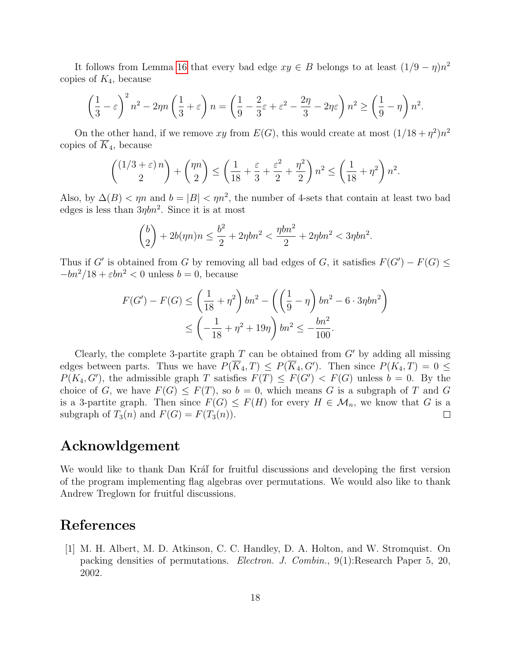It follows from Lemma [16](#page-15-3) that every bad edge  $xy \in B$  belongs to at least  $(1/9 - \eta)n^2$ copies of  $K_4$ , because

$$
\left(\frac{1}{3} - \varepsilon\right)^2 n^2 - 2\eta n \left(\frac{1}{3} + \varepsilon\right) n = \left(\frac{1}{9} - \frac{2}{3}\varepsilon + \varepsilon^2 - \frac{2\eta}{3} - 2\eta\varepsilon\right) n^2 \ge \left(\frac{1}{9} - \eta\right) n^2.
$$

On the other hand, if we remove xy from  $E(G)$ , this would create at most  $(1/18 + \eta^2)n^2$ copies of  $\overline{K}_4$ , because

$$
{\binom{(1/3+\varepsilon)\,n}{2}} + {\binom{\eta n}{2}} \le \left(\frac{1}{18} + \frac{\varepsilon}{3} + \frac{\varepsilon^2}{2} + \frac{\eta^2}{2}\right)n^2 \le \left(\frac{1}{18} + \eta^2\right)n^2.
$$

Also, by  $\Delta(B) < \eta n$  and  $b = |B| < \eta n^2$ , the number of 4-sets that contain at least two bad edges is less than  $3\eta b n^2$ . Since it is at most

$$
\binom{b}{2} + 2b(\eta n)n \le \frac{b^2}{2} + 2\eta b n^2 < \frac{\eta b n^2}{2} + 2\eta b n^2 < 3\eta b n^2.
$$

Thus if G' is obtained from G by removing all bad edges of G, it satisfies  $F(G') - F(G) \le$  $-bn^2/18 + \varepsilon bn^2 < 0$  unless  $b = 0$ , because

$$
F(G') - F(G) \le \left(\frac{1}{18} + \eta^2\right)bn^2 - \left(\left(\frac{1}{9} - \eta\right)bn^2 - 6 \cdot 3\eta bn^2\right) \le \left(-\frac{1}{18} + \eta^2 + 19\eta\right)bn^2 \le -\frac{bn^2}{100}.
$$

Clearly, the complete 3-partite graph  $T$  can be obtained from  $G'$  by adding all missing edges between parts. Thus we have  $P(\overline{K}_4, T) \leq P(\overline{K}_4, G')$ . Then since  $P(K_4, T) = 0 \leq$  $P(K_4, G')$ , the admissible graph T satisfies  $F(T) \leq F(G') < F(G)$  unless  $b = 0$ . By the choice of G, we have  $F(G) \leq F(T)$ , so  $b = 0$ , which means G is a subgraph of T and G is a 3-partite graph. Then since  $F(G) \leq F(H)$  for every  $H \in \mathcal{M}_n$ , we know that G is a subgraph of  $T_3(n)$  and  $F(G) = F(T_3(n))$ .  $\Box$ 

# Acknowldgement

We would like to thank Dan Kráľ for fruitful discussions and developing the first version of the program implementing flag algebras over permutations. We would also like to thank Andrew Treglown for fruitful discussions.

# References

<span id="page-17-0"></span>[1] M. H. Albert, M. D. Atkinson, C. C. Handley, D. A. Holton, and W. Stromquist. On packing densities of permutations. Electron. J. Combin., 9(1):Research Paper 5, 20, 2002.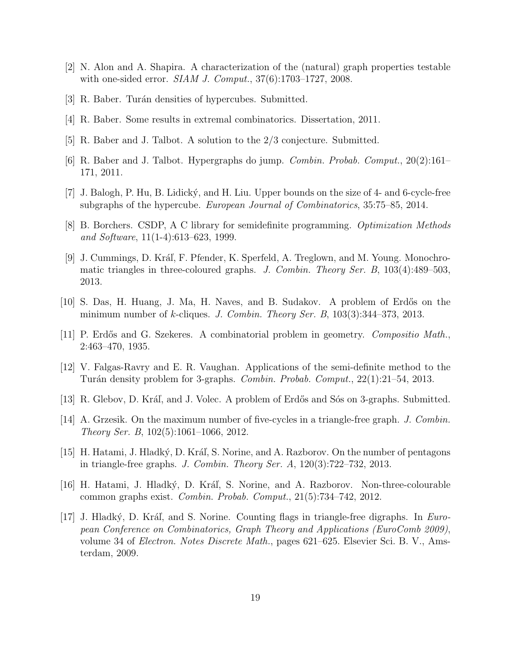- <span id="page-18-14"></span>[2] N. Alon and A. Shapira. A characterization of the (natural) graph properties testable with one-sided error. *SIAM J. Comput.*, 37(6):1703–1727, 2008.
- <span id="page-18-9"></span>[3] R. Baber. Turán densities of hypercubes. Submitted.
- <span id="page-18-15"></span>[4] R. Baber. Some results in extremal combinatorics. Dissertation, 2011.
- <span id="page-18-11"></span>[5] R. Baber and J. Talbot. A solution to the 2/3 conjecture. Submitted.
- <span id="page-18-6"></span>[6] R. Baber and J. Talbot. Hypergraphs do jump. Combin. Probab. Comput., 20(2):161– 171, 2011.
- <span id="page-18-10"></span>[7] J. Balogh, P. Hu, B. Lidick´y, and H. Liu. Upper bounds on the size of 4- and 6-cycle-free subgraphs of the hypercube. European Journal of Combinatorics, 35:75–85, 2014.
- <span id="page-18-1"></span>[8] B. Borchers. CSDP, A C library for semidefinite programming. Optimization Methods and Software, 11(1-4):613–623, 1999.
- <span id="page-18-12"></span>[9] J. Cummings, D. Kráľ, F. Pfender, K. Sperfeld, A. Treglown, and M. Young. Monochromatic triangles in three-coloured graphs. J. Combin. Theory Ser. B, 103(4):489–503, 2013.
- <span id="page-18-3"></span>[10] S. Das, H. Huang, J. Ma, H. Naves, and B. Sudakov. A problem of Erdős on the minimum number of k-cliques. J. Combin. Theory Ser. B,  $103(3):344-373$ ,  $2013$ .
- <span id="page-18-0"></span>[11] P. Erdős and G. Szekeres. A combinatorial problem in geometry. *Compositio Math.*, 2:463–470, 1935.
- <span id="page-18-7"></span>[12] V. Falgas-Ravry and E. R. Vaughan. Applications of the semi-definite method to the Turán density problem for 3-graphs. *Combin. Probab. Comput.*, 22(1):21–54, 2013.
- <span id="page-18-8"></span>[13] R. Glebov, D. Kráľ, and J. Volec. A problem of Erdős and Sós on 3-graphs. Submitted.
- <span id="page-18-4"></span>[14] A. Grzesik. On the maximum number of five-cycles in a triangle-free graph. J. Combin. Theory Ser. B, 102(5):1061–1066, 2012.
- <span id="page-18-5"></span>[15] H. Hatami, J. Hladký, D. Kráľ, S. Norine, and A. Razborov. On the number of pentagons in triangle-free graphs. J. Combin. Theory Ser.  $A$ , 120(3):722–732, 2013.
- <span id="page-18-13"></span>[16] H. Hatami, J. Hladký, D. Kráľ, S. Norine, and A. Razborov. Non-three-colourable common graphs exist. Combin. Probab. Comput., 21(5):734–742, 2012.
- <span id="page-18-2"></span>[17] J. Hladký, D. Kráľ, and S. Norine. Counting flags in triangle-free digraphs. In European Conference on Combinatorics, Graph Theory and Applications (EuroComb 2009), volume 34 of Electron. Notes Discrete Math., pages 621–625. Elsevier Sci. B. V., Amsterdam, 2009.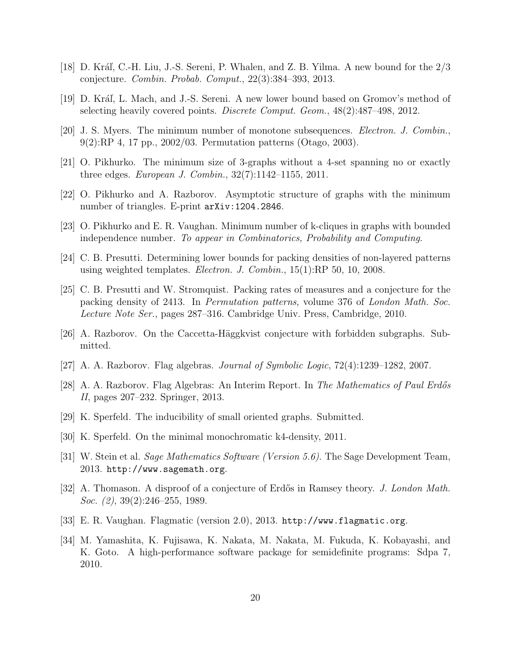- <span id="page-19-14"></span>[18] D. Kráľ, C.-H. Liu, J.-S. Sereni, P. Whalen, and Z. B. Yilma. A new bound for the  $2/3$ conjecture. Combin. Probab. Comput., 22(3):384–393, 2013.
- <span id="page-19-15"></span>[19] D. Kráľ, L. Mach, and J.-S. Sereni. A new lower bound based on Gromov's method of selecting heavily covered points. Discrete Comput. Geom., 48(2):487–498, 2012.
- <span id="page-19-0"></span>[20] J. S. Myers. The minimum number of monotone subsequences. Electron. J. Combin., 9(2):RP 4, 17 pp., 2002/03. Permutation patterns (Otago, 2003).
- <span id="page-19-12"></span>[21] O. Pikhurko. The minimum size of 3-graphs without a 4-set spanning no or exactly three edges. European J. Combin., 32(7):1142–1155, 2011.
- <span id="page-19-10"></span>[22] O. Pikhurko and A. Razborov. Asymptotic structure of graphs with the minimum number of triangles. E-print arXiv:1204.2846.
- <span id="page-19-11"></span>[23] O. Pikhurko and E. R. Vaughan. Minimum number of k-cliques in graphs with bounded independence number. To appear in Combinatorics, Probability and Computing.
- <span id="page-19-4"></span>[24] C. B. Presutti. Determining lower bounds for packing densities of non-layered patterns using weighted templates. Electron. J. Combin., 15(1):RP 50, 10, 2008.
- <span id="page-19-5"></span>[25] C. B. Presutti and W. Stromquist. Packing rates of measures and a conjecture for the packing density of 2413. In Permutation patterns, volume 376 of London Math. Soc. Lecture Note Ser., pages 287–316. Cambridge Univ. Press, Cambridge, 2010.
- <span id="page-19-9"></span> $[26]$  A. Razborov. On the Caccetta-Häggkvist conjecture with forbidden subgraphs. Submitted.
- <span id="page-19-7"></span>[27] A. A. Razborov. Flag algebras. Journal of Symbolic Logic, 72(4):1239–1282, 2007.
- <span id="page-19-8"></span>[28] A. A. Razborov. Flag Algebras: An Interim Report. In The Mathematics of Paul Erdős II, pages 207–232. Springer, 2013.
- <span id="page-19-13"></span>[29] K. Sperfeld. The inducibility of small oriented graphs. Submitted.
- <span id="page-19-2"></span>[30] K. Sperfeld. On the minimal monochromatic k4-density, 2011.
- <span id="page-19-6"></span>[31] W. Stein et al. Sage Mathematics Software (Version 5.6). The Sage Development Team, 2013. http://www.sagemath.org.
- <span id="page-19-1"></span>[32] A. Thomason. A disproof of a conjecture of Erdős in Ramsey theory. *J. London Math.* Soc. (2), 39(2):246–255, 1989.
- <span id="page-19-3"></span>[33] E. R. Vaughan. Flagmatic (version 2.0), 2013. http://www.flagmatic.org.
- <span id="page-19-16"></span>[34] M. Yamashita, K. Fujisawa, K. Nakata, M. Nakata, M. Fukuda, K. Kobayashi, and K. Goto. A high-performance software package for semidefinite programs: Sdpa 7, 2010.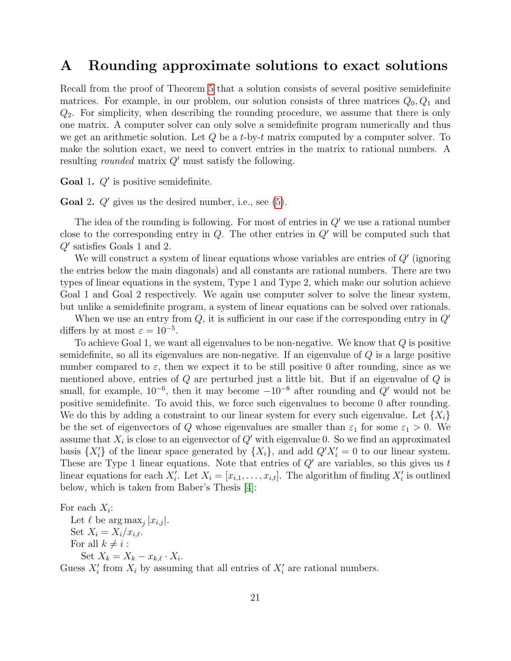# A Rounding approximate solutions to exact solutions

Recall from the proof of Theorem [5](#page-5-2) that a solution consists of several positive semidefinite matrices. For example, in our problem, our solution consists of three matrices  $Q_0, Q_1$  and  $Q_2$ . For simplicity, when describing the rounding procedure, we assume that there is only one matrix. A computer solver can only solve a semidefinite program numerically and thus we get an arithmetic solution. Let  $Q$  be a t-by-t matrix computed by a computer solver. To make the solution exact, we need to convert entries in the matrix to rational numbers. A resulting *rounded* matrix  $Q'$  must satisfy the following.

Goal 1.  $Q'$  is positive semidefinite.

**Goal 2.**  $Q'$  gives us the desired number, i.e., see [\(5\)](#page-8-1).

The idea of the rounding is following. For most of entries in  $Q'$  we use a rational number close to the corresponding entry in  $Q$ . The other entries in  $Q'$  will be computed such that  $Q'$  satisfies Goals 1 and 2.

We will construct a system of linear equations whose variables are entries of  $Q'$  (ignoring the entries below the main diagonals) and all constants are rational numbers. There are two types of linear equations in the system, Type 1 and Type 2, which make our solution achieve Goal 1 and Goal 2 respectively. We again use computer solver to solve the linear system, but unlike a semidefinite program, a system of linear equations can be solved over rationals.

When we use an entry from  $Q$ , it is sufficient in our case if the corresponding entry in  $Q'$ differs by at most  $\varepsilon = 10^{-5}$ .

To achieve Goal 1, we want all eigenvalues to be non-negative. We know that  $Q$  is positive semidefinite, so all its eigenvalues are non-negative. If an eigenvalue of  $Q$  is a large positive number compared to  $\varepsilon$ , then we expect it to be still positive 0 after rounding, since as we mentioned above, entries of  $Q$  are perturbed just a little bit. But if an eigenvalue of  $Q$  is small, for example,  $10^{-6}$ , then it may become  $-10^{-8}$  after rounding and  $Q'$  would not be positive semidefinite. To avoid this, we force such eigenvalues to become 0 after rounding. We do this by adding a constraint to our linear system for every such eigenvalue. Let  $\{X_i\}$ be the set of eigenvectors of Q whose eigenvalues are smaller than  $\varepsilon_1$  for some  $\varepsilon_1 > 0$ . We assume that  $X_i$  is close to an eigenvector of  $Q'$  with eigenvalue 0. So we find an approximated basis  $\{X_i'\}$  of the linear space generated by  $\{X_i\}$ , and add  $Q'X_i' = 0$  to our linear system. These are Type 1 linear equations. Note that entries of  $Q'$  are variables, so this gives us t linear equations for each  $X_i'$ . Let  $X_i = [x_{i,1}, \ldots, x_{i,t}]$ . The algorithm of finding  $X_i'$  is outlined below, which is taken from Baber's Thesis [\[4\]](#page-18-15):

For each  $X_i$ :

Let  $\ell$  be  $\arg \max_j |x_{i,j}|$ . Set  $X_i = X_i / x_{i,\ell}$ . For all  $k \neq i$ : Set  $X_k = X_k - x_{k,\ell} \cdot X_i$ .

Guess  $X_i'$  from  $X_i$  by assuming that all entries of  $X_i'$  are rational numbers.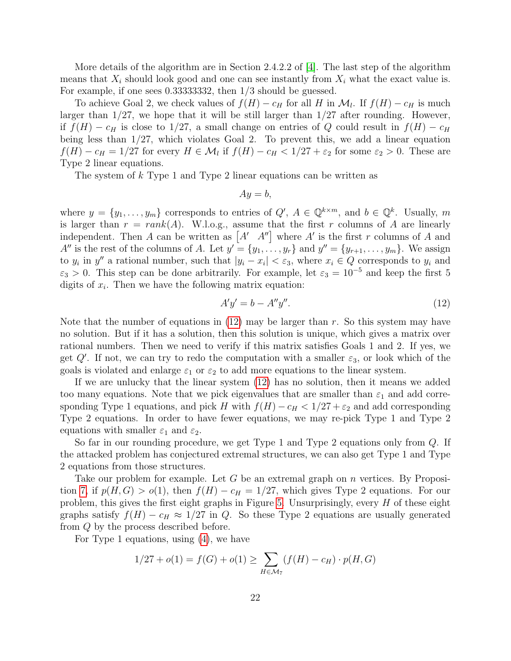More details of the algorithm are in Section 2.4.2.2 of  $|4|$ . The last step of the algorithm means that  $X_i$  should look good and one can see instantly from  $X_i$  what the exact value is. For example, if one sees 0.33333332, then 1/3 should be guessed.

To achieve Goal 2, we check values of  $f(H) - c_H$  for all H in  $\mathcal{M}_l$ . If  $f(H) - c_H$  is much larger than  $1/27$ , we hope that it will be still larger than  $1/27$  after rounding. However, if  $f(H) - c_H$  is close to 1/27, a small change on entries of Q could result in  $f(H) - c_H$ being less than 1/27, which violates Goal 2. To prevent this, we add a linear equation  $f(H) - c_H = 1/27$  for every  $H \in \mathcal{M}_l$  if  $f(H) - c_H < 1/27 + \varepsilon_2$  for some  $\varepsilon_2 > 0$ . These are Type 2 linear equations.

The system of k Type 1 and Type 2 linear equations can be written as

$$
Ay = b,
$$

where  $y = \{y_1, \ldots, y_m\}$  corresponds to entries of  $Q'$ ,  $A \in \mathbb{Q}^{k \times m}$ , and  $b \in \mathbb{Q}^k$ . Usually, m is larger than  $r = rank(A)$ . W.l.o.g., assume that the first r columns of A are linearly independent. Then A can be written as  $[A' \ A'']$  where A' is the first r columns of A and  $A''$  is the rest of the columns of A. Let  $y' = \{y_1, \ldots, y_r\}$  and  $y'' = \{y_{r+1}, \ldots, y_m\}$ . We assign to  $y_i$  in  $y''$  a rational number, such that  $|y_i - x_i| < \varepsilon_3$ , where  $x_i \in Q$  corresponds to  $y_i$  and  $\varepsilon_3 > 0$ . This step can be done arbitrarily. For example, let  $\varepsilon_3 = 10^{-5}$  and keep the first 5 digits of  $x_i$ . Then we have the following matrix equation:

<span id="page-21-0"></span>
$$
A'y' = b - A''y''.
$$
\n<sup>(12)</sup>

Note that the number of equations in  $(12)$  may be larger than r. So this system may have no solution. But if it has a solution, then this solution is unique, which gives a matrix over rational numbers. Then we need to verify if this matrix satisfies Goals 1 and 2. If yes, we get  $Q'$ . If not, we can try to redo the computation with a smaller  $\varepsilon_3$ , or look which of the goals is violated and enlarge  $\varepsilon_1$  or  $\varepsilon_2$  to add more equations to the linear system.

If we are unlucky that the linear system [\(12\)](#page-21-0) has no solution, then it means we added too many equations. Note that we pick eigenvalues that are smaller than  $\varepsilon_1$  and add corresponding Type 1 equations, and pick H with  $f(H) - c_H < 1/27 + \varepsilon_2$  and add corresponding Type 2 equations. In order to have fewer equations, we may re-pick Type 1 and Type 2 equations with smaller  $\varepsilon_1$  and  $\varepsilon_2$ .

So far in our rounding procedure, we get Type 1 and Type 2 equations only from Q. If the attacked problem has conjectured extremal structures, we can also get Type 1 and Type 2 equations from those structures.

Take our problem for example. Let G be an extremal graph on  $n$  vertices. By Proposi-tion [7,](#page-9-1) if  $p(H, G) > o(1)$ , then  $f(H) - c_H = 1/27$ , which gives Type 2 equations. For our problem, this gives the first eight graphs in Figure [5.](#page-10-1) Unsurprisingly, every  $H$  of these eight graphs satisfy  $f(H) - c_H \approx 1/27$  in Q. So these Type 2 equations are usually generated from Q by the process described before.

For Type 1 equations, using [\(4\)](#page-8-0), we have

$$
1/27 + o(1) = f(G) + o(1) \ge \sum_{H \in \mathcal{M}_7} (f(H) - c_H) \cdot p(H, G)
$$